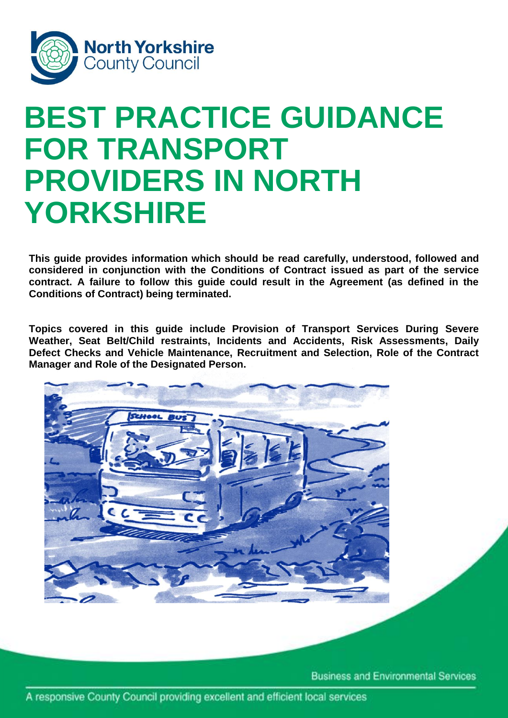

# i **BEST PRACTICE GUIDANCE FOR TRANSPORT PROVIDERS IN NORTH YORKSHIRE**

**This guide provides information which should be read carefully, understood, followed and considered in conjunction with the Conditions of Contract issued as part of the service contract. A failure to follow this guide could result in the Agreement (as defined in the Conditions of Contract) being terminated.**

**Topics covered in this guide include Provision of Transport Services During Severe Weather, Seat Belt/Child restraints, Incidents and Accidents, Risk Assessments, Daily Defect Checks and Vehicle Maintenance, Recruitment and Selection, Role of the Contract Manager and Role of the Designated Person.**



**Business and Environmental Services**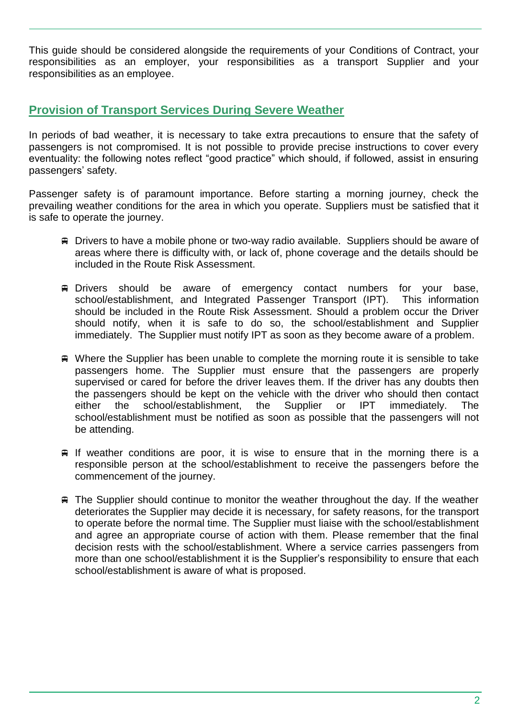This guide should be considered alongside the requirements of your Conditions of Contract, your responsibilities as an employer, your responsibilities as a transport Supplier and your responsibilities as an employee.

## **Provision of Transport Services During Severe Weather**

In periods of bad weather, it is necessary to take extra precautions to ensure that the safety of passengers is not compromised. It is not possible to provide precise instructions to cover every eventuality: the following notes reflect "good practice" which should, if followed, assist in ensuring passengers' safety.

Passenger safety is of paramount importance. Before starting a morning journey, check the prevailing weather conditions for the area in which you operate. Suppliers must be satisfied that it is safe to operate the journey.

- Drivers to have a mobile phone or two-way radio available. Suppliers should be aware of areas where there is difficulty with, or lack of, phone coverage and the details should be included in the Route Risk Assessment.
- Drivers should be aware of emergency contact numbers for your base, school/establishment, and Integrated Passenger Transport (IPT). This information should be included in the Route Risk Assessment. Should a problem occur the Driver should notify, when it is safe to do so, the school/establishment and Supplier immediately. The Supplier must notify IPT as soon as they become aware of a problem.
- Where the Supplier has been unable to complete the morning route it is sensible to take passengers home. The Supplier must ensure that the passengers are properly supervised or cared for before the driver leaves them. If the driver has any doubts then the passengers should be kept on the vehicle with the driver who should then contact either the school/establishment, the Supplier or IPT immediately. The school/establishment must be notified as soon as possible that the passengers will not be attending.
- $\equiv$  If weather conditions are poor, it is wise to ensure that in the morning there is a responsible person at the school/establishment to receive the passengers before the commencement of the journey.
- The Supplier should continue to monitor the weather throughout the day. If the weather deteriorates the Supplier may decide it is necessary, for safety reasons, for the transport to operate before the normal time. The Supplier must liaise with the school/establishment and agree an appropriate course of action with them. Please remember that the final decision rests with the school/establishment. Where a service carries passengers from more than one school/establishment it is the Supplier's responsibility to ensure that each school/establishment is aware of what is proposed.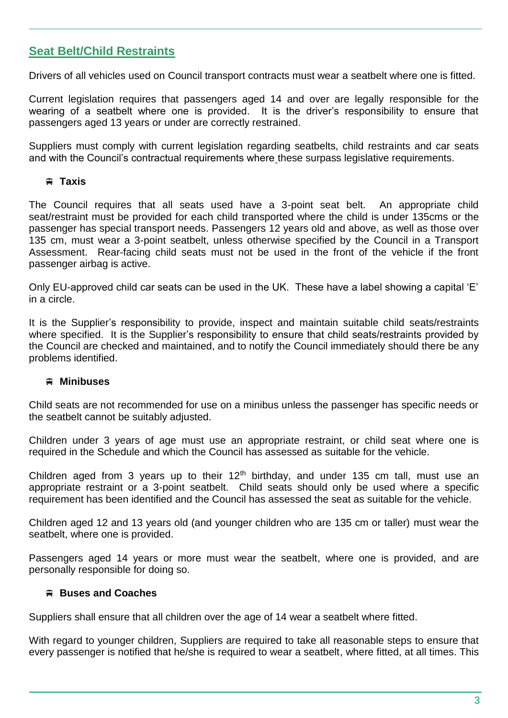# **Seat Belt/Child Restraints**

Drivers of all vehicles used on Council transport contracts must wear a seatbelt where one is fitted.

Current legislation requires that passengers aged 14 and over are legally responsible for the wearing of a seatbelt where one is provided. It is the driver's responsibility to ensure that passengers aged 13 years or under are correctly restrained.

Suppliers must comply with current legislation regarding seatbelts, child restraints and car seats and with the Council's contractual requirements where these surpass legislative requirements.

## **Taxis**

The Council requires that all seats used have a 3-point seat belt. An appropriate child seat/restraint must be provided for each child transported where the child is under 135cms or the passenger has special transport needs. Passengers 12 years old and above, as well as those over 135 cm, must wear a 3-point seatbelt, unless otherwise specified by the Council in a Transport Assessment. Rear-facing child seats must not be used in the front of the vehicle if the front passenger airbag is active.

Only EU-approved child car seats can be used in the UK. These have a label showing a capital 'E' in a circle.

It is the Supplier's responsibility to provide, inspect and maintain suitable child seats/restraints where specified. It is the Supplier's responsibility to ensure that child seats/restraints provided by the Council are checked and maintained, and to notify the Council immediately should there be any problems identified.

## **Minibuses**

Child seats are not recommended for use on a minibus unless the passenger has specific needs or the seatbelt cannot be suitably adjusted.

Children under 3 years of age must use an appropriate restraint, or child seat where one is required in the Schedule and which the Council has assessed as suitable for the vehicle.

Children aged from 3 years up to their  $12<sup>th</sup>$  birthday, and under 135 cm tall, must use an appropriate restraint or a 3-point seatbelt. Child seats should only be used where a specific requirement has been identified and the Council has assessed the seat as suitable for the vehicle.

Children aged 12 and 13 years old (and younger children who are 135 cm or taller) must wear the seatbelt, where one is provided.

Passengers aged 14 years or more must wear the seatbelt, where one is provided, and are personally responsible for doing so.

## **Buses and Coaches**

Suppliers shall ensure that all children over the age of 14 wear a seatbelt where fitted.

With regard to younger children, Suppliers are required to take all reasonable steps to ensure that every passenger is notified that he/she is required to wear a seatbelt, where fitted, at all times. This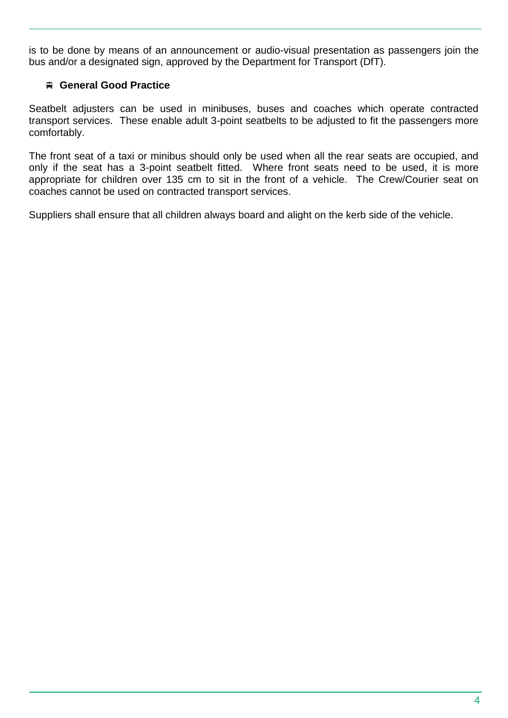is to be done by means of an announcement or audio-visual presentation as passengers join the bus and/or a designated sign, approved by the Department for Transport (DfT).

## **General Good Practice**

Seatbelt adjusters can be used in minibuses, buses and coaches which operate contracted transport services. These enable adult 3-point seatbelts to be adjusted to fit the passengers more comfortably.

The front seat of a taxi or minibus should only be used when all the rear seats are occupied, and only if the seat has a 3-point seatbelt fitted. Where front seats need to be used, it is more appropriate for children over 135 cm to sit in the front of a vehicle. The Crew/Courier seat on coaches cannot be used on contracted transport services.

Suppliers shall ensure that all children always board and alight on the kerb side of the vehicle.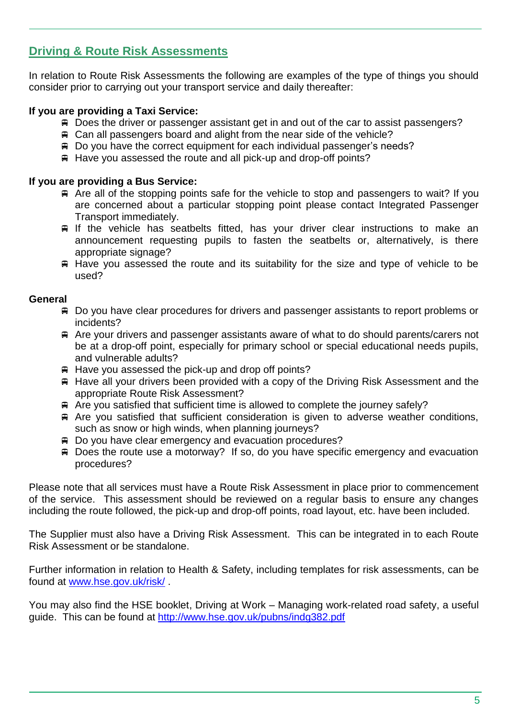# **Driving & Route Risk Assessments**

In relation to Route Risk Assessments the following are examples of the type of things you should consider prior to carrying out your transport service and daily thereafter:

## **If you are providing a Taxi Service:**

- Does the driver or passenger assistant get in and out of the car to assist passengers?
- Can all passengers board and alight from the near side of the vehicle?
- Do you have the correct equipment for each individual passenger's needs?
- $\#$  Have you assessed the route and all pick-up and drop-off points?

#### **If you are providing a Bus Service:**

- $\#$  Are all of the stopping points safe for the vehicle to stop and passengers to wait? If you are concerned about a particular stopping point please contact Integrated Passenger Transport immediately.
- $\equiv$  If the vehicle has seatbelts fitted, has your driver clear instructions to make an announcement requesting pupils to fasten the seatbelts or, alternatively, is there appropriate signage?
- $\#$  Have you assessed the route and its suitability for the size and type of vehicle to be used?

## **General**

- Do you have clear procedures for drivers and passenger assistants to report problems or incidents?
- Are your drivers and passenger assistants aware of what to do should parents/carers not be at a drop-off point, especially for primary school or special educational needs pupils, and vulnerable adults?
- $\#$  Have you assessed the pick-up and drop off points?
- $\#$  Have all your drivers been provided with a copy of the Driving Risk Assessment and the appropriate Route Risk Assessment?
- Are you satisfied that sufficient time is allowed to complete the journey safely?
- Are you satisfied that sufficient consideration is given to adverse weather conditions, such as snow or high winds, when planning journeys?
- Do you have clear emergency and evacuation procedures?
- Does the route use a motorway? If so, do you have specific emergency and evacuation procedures?

Please note that all services must have a Route Risk Assessment in place prior to commencement of the service. This assessment should be reviewed on a regular basis to ensure any changes including the route followed, the pick-up and drop-off points, road layout, etc. have been included.

The Supplier must also have a Driving Risk Assessment. This can be integrated in to each Route Risk Assessment or be standalone.

Further information in relation to Health & Safety, including templates for risk assessments, can be found at [www.hse.gov.uk/risk/](http://www.hse.gov.uk/risk/) .

You may also find the HSE booklet, Driving at Work – Managing work-related road safety, a useful guide. This can be found at <http://www.hse.gov.uk/pubns/indg382.pdf>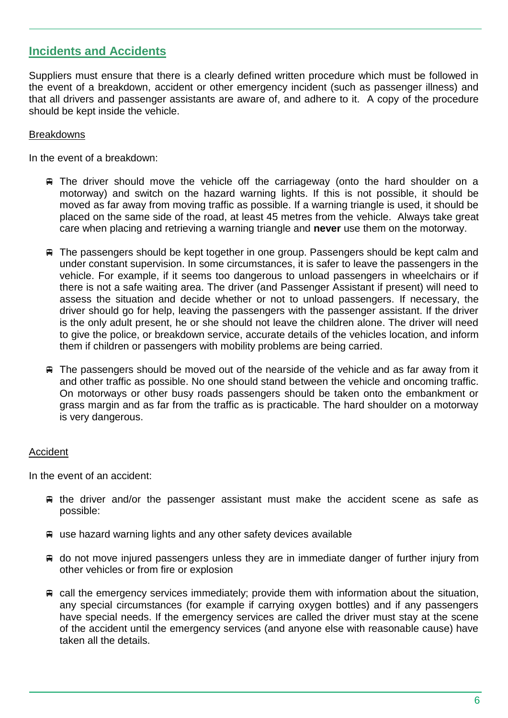## **Incidents and Accidents**

Suppliers must ensure that there is a clearly defined written procedure which must be followed in the event of a breakdown, accident or other emergency incident (such as passenger illness) and that all drivers and passenger assistants are aware of, and adhere to it. A copy of the procedure should be kept inside the vehicle.

#### **Breakdowns**

In the event of a breakdown:

- The driver should move the vehicle off the carriageway (onto the hard shoulder on a motorway) and switch on the hazard warning lights. If this is not possible, it should be moved as far away from moving traffic as possible. If a warning triangle is used, it should be placed on the same side of the road, at least 45 metres from the vehicle. Always take great care when placing and retrieving a warning triangle and **never** use them on the motorway.
- The passengers should be kept together in one group. Passengers should be kept calm and under constant supervision. In some circumstances, it is safer to leave the passengers in the vehicle. For example, if it seems too dangerous to unload passengers in wheelchairs or if there is not a safe waiting area. The driver (and Passenger Assistant if present) will need to assess the situation and decide whether or not to unload passengers. If necessary, the driver should go for help, leaving the passengers with the passenger assistant. If the driver is the only adult present, he or she should not leave the children alone. The driver will need to give the police, or breakdown service, accurate details of the vehicles location, and inform them if children or passengers with mobility problems are being carried.
- $\equiv$  The passengers should be moved out of the nearside of the vehicle and as far away from it and other traffic as possible. No one should stand between the vehicle and oncoming traffic. On motorways or other busy roads passengers should be taken onto the embankment or grass margin and as far from the traffic as is practicable. The hard shoulder on a motorway is very dangerous.

#### Accident

In the event of an accident:

- $\#$  the driver and/or the passenger assistant must make the accident scene as safe as possible:
- use hazard warning lights and any other safety devices available
- $\equiv$  do not move injured passengers unless they are in immediate danger of further injury from other vehicles or from fire or explosion
- $\equiv$  call the emergency services immediately; provide them with information about the situation, any special circumstances (for example if carrying oxygen bottles) and if any passengers have special needs. If the emergency services are called the driver must stay at the scene of the accident until the emergency services (and anyone else with reasonable cause) have taken all the details.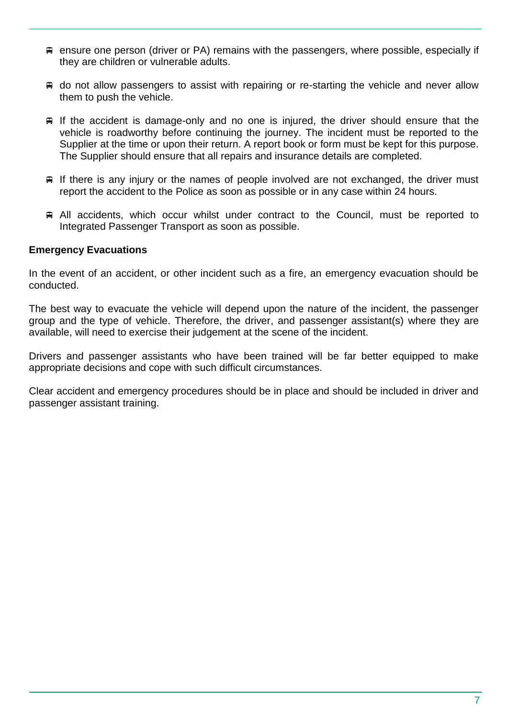- ensure one person (driver or PA) remains with the passengers, where possible, especially if they are children or vulnerable adults.
- **■** do not allow passengers to assist with repairing or re-starting the vehicle and never allow them to push the vehicle.
- $\equiv$  If the accident is damage-only and no one is injured, the driver should ensure that the vehicle is roadworthy before continuing the journey. The incident must be reported to the Supplier at the time or upon their return. A report book or form must be kept for this purpose. The Supplier should ensure that all repairs and insurance details are completed.
- $\equiv$  If there is any injury or the names of people involved are not exchanged, the driver must report the accident to the Police as soon as possible or in any case within 24 hours.
- All accidents, which occur whilst under contract to the Council, must be reported to Integrated Passenger Transport as soon as possible.

#### **Emergency Evacuations**

In the event of an accident, or other incident such as a fire, an emergency evacuation should be conducted.

The best way to evacuate the vehicle will depend upon the nature of the incident, the passenger group and the type of vehicle. Therefore, the driver, and passenger assistant(s) where they are available, will need to exercise their judgement at the scene of the incident.

Drivers and passenger assistants who have been trained will be far better equipped to make appropriate decisions and cope with such difficult circumstances.

Clear accident and emergency procedures should be in place and should be included in driver and passenger assistant training.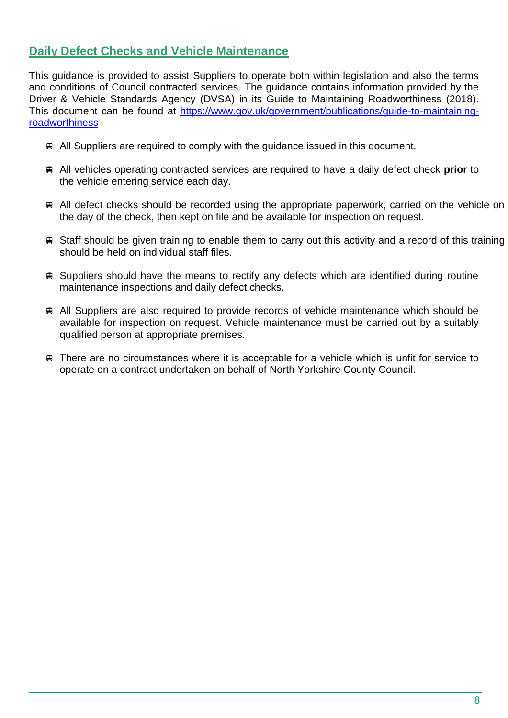# **Daily Defect Checks and Vehicle Maintenance**

This guidance is provided to assist Suppliers to operate both within legislation and also the terms and conditions of Council contracted services. The guidance contains information provided by the Driver & Vehicle Standards Agency (DVSA) in its Guide to Maintaining Roadworthiness (2018). This document can be found at [https://www.gov.uk/government/publications/guide-to-maintaining](https://www.gov.uk/government/publications/guide-to-maintaining-roadworthiness)[roadworthiness](https://www.gov.uk/government/publications/guide-to-maintaining-roadworthiness)

- All Suppliers are required to comply with the guidance issued in this document.
- All vehicles operating contracted services are required to have a daily defect check **prior** to the vehicle entering service each day.
- All defect checks should be recorded using the appropriate paperwork, carried on the vehicle on the day of the check, then kept on file and be available for inspection on request.
- $\#$  Staff should be given training to enable them to carry out this activity and a record of this training should be held on individual staff files.
- Suppliers should have the means to rectify any defects which are identified during routine maintenance inspections and daily defect checks.
- All Suppliers are also required to provide records of vehicle maintenance which should be available for inspection on request. Vehicle maintenance must be carried out by a suitably qualified person at appropriate premises.
- There are no circumstances where it is acceptable for a vehicle which is unfit for service to operate on a contract undertaken on behalf of North Yorkshire County Council.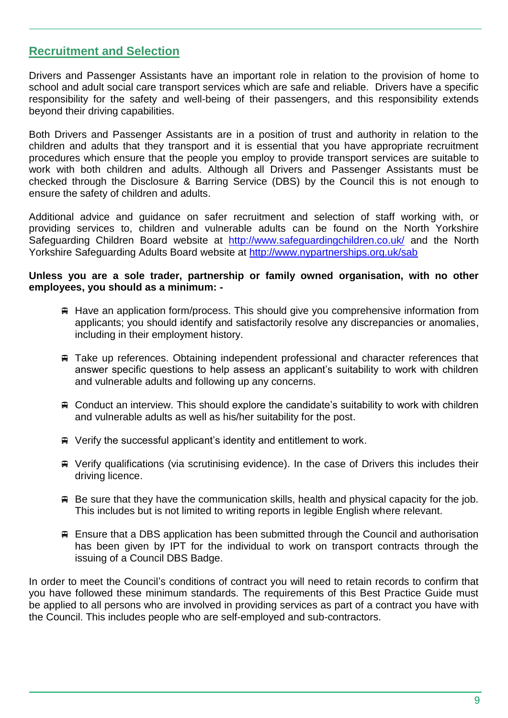## **Recruitment and Selection**

Drivers and Passenger Assistants have an important role in relation to the provision of home to school and adult social care transport services which are safe and reliable. Drivers have a specific responsibility for the safety and well-being of their passengers, and this responsibility extends beyond their driving capabilities.

Both Drivers and Passenger Assistants are in a position of trust and authority in relation to the children and adults that they transport and it is essential that you have appropriate recruitment procedures which ensure that the people you employ to provide transport services are suitable to work with both children and adults. Although all Drivers and Passenger Assistants must be checked through the Disclosure & Barring Service (DBS) by the Council this is not enough to ensure the safety of children and adults.

Additional advice and guidance on safer recruitment and selection of staff working with, or providing services to, children and vulnerable adults can be found on the North Yorkshire Safeguarding Children Board website at <http://www.safeguardingchildren.co.uk/> and the North Yorkshire Safeguarding Adults Board website at <http://www.nypartnerships.org.uk/sab>

#### **Unless you are a sole trader, partnership or family owned organisation, with no other employees, you should as a minimum: -**

- $\#$  Have an application form/process. This should give you comprehensive information from applicants; you should identify and satisfactorily resolve any discrepancies or anomalies, including in their employment history.
- Take up references. Obtaining independent professional and character references that answer specific questions to help assess an applicant's suitability to work with children and vulnerable adults and following up any concerns.
- Conduct an interview. This should explore the candidate's suitability to work with children and vulnerable adults as well as his/her suitability for the post.
- $\mathbb F$  Verify the successful applicant's identity and entitlement to work.
- Verify qualifications (via scrutinising evidence). In the case of Drivers this includes their driving licence.
- $\#$  Be sure that they have the communication skills, health and physical capacity for the job. This includes but is not limited to writing reports in legible English where relevant.
- Ensure that a DBS application has been submitted through the Council and authorisation has been given by IPT for the individual to work on transport contracts through the issuing of a Council DBS Badge.

In order to meet the Council's conditions of contract you will need to retain records to confirm that you have followed these minimum standards. The requirements of this Best Practice Guide must be applied to all persons who are involved in providing services as part of a contract you have with the Council. This includes people who are self-employed and sub-contractors.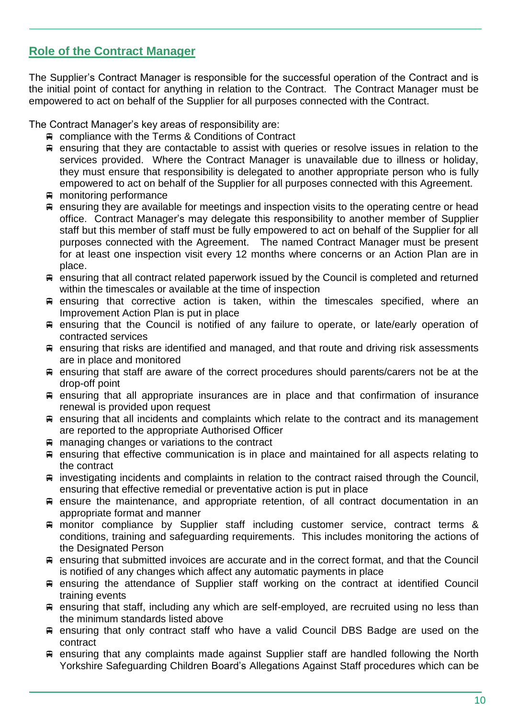# **Role of the Contract Manager**

The Supplier's Contract Manager is responsible for the successful operation of the Contract and is the initial point of contact for anything in relation to the Contract. The Contract Manager must be empowered to act on behalf of the Supplier for all purposes connected with the Contract.

The Contract Manager's key areas of responsibility are:

- compliance with the Terms & Conditions of Contract
- $\equiv$  ensuring that they are contactable to assist with queries or resolve issues in relation to the services provided. Where the Contract Manager is unavailable due to illness or holiday, they must ensure that responsibility is delegated to another appropriate person who is fully empowered to act on behalf of the Supplier for all purposes connected with this Agreement.
- monitoring performance
- $\equiv$  ensuring they are available for meetings and inspection visits to the operating centre or head office. Contract Manager's may delegate this responsibility to another member of Supplier staff but this member of staff must be fully empowered to act on behalf of the Supplier for all purposes connected with the Agreement. The named Contract Manager must be present for at least one inspection visit every 12 months where concerns or an Action Plan are in place.
- **■** ensuring that all contract related paperwork issued by the Council is completed and returned within the timescales or available at the time of inspection
- ensuring that corrective action is taken, within the timescales specified, where an Improvement Action Plan is put in place
- ensuring that the Council is notified of any failure to operate, or late/early operation of contracted services
- ensuring that risks are identified and managed, and that route and driving risk assessments are in place and monitored
- ensuring that staff are aware of the correct procedures should parents/carers not be at the drop-off point
- $\equiv$  ensuring that all appropriate insurances are in place and that confirmation of insurance renewal is provided upon request
- $\equiv$  ensuring that all incidents and complaints which relate to the contract and its management are reported to the appropriate Authorised Officer
- managing changes or variations to the contract
- $\equiv$  ensuring that effective communication is in place and maintained for all aspects relating to the contract
- $\equiv$  investigating incidents and complaints in relation to the contract raised through the Council, ensuring that effective remedial or preventative action is put in place
- $\equiv$  ensure the maintenance, and appropriate retention, of all contract documentation in an appropriate format and manner
- monitor compliance by Supplier staff including customer service, contract terms & conditions, training and safeguarding requirements. This includes monitoring the actions of the Designated Person
- ensuring that submitted invoices are accurate and in the correct format, and that the Council is notified of any changes which affect any automatic payments in place
- ensuring the attendance of Supplier staff working on the contract at identified Council training events
- ensuring that staff, including any which are self-employed, are recruited using no less than the minimum standards listed above
- ensuring that only contract staff who have a valid Council DBS Badge are used on the contract
- ensuring that any complaints made against Supplier staff are handled following the North Yorkshire Safeguarding Children Board's Allegations Against Staff procedures which can be